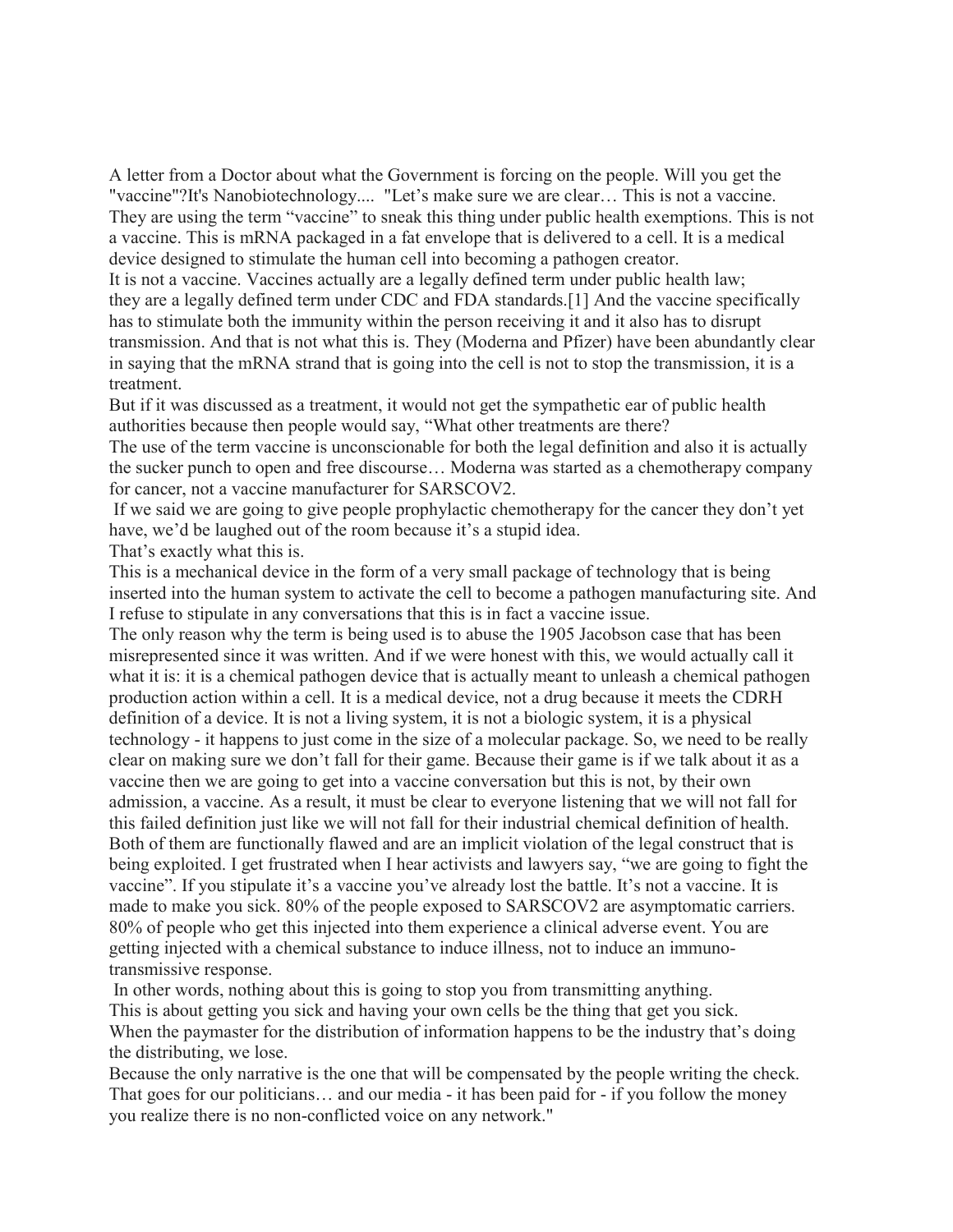A letter from a Doctor about what the Government is forcing on the people. Will you get the "vaccine"?It's Nanobiotechnology.... "Let's make sure we are clear… This is not a vaccine. They are using the term "vaccine" to sneak this thing under public health exemptions. This is not a vaccine. This is mRNA packaged in a fat envelope that is delivered to a cell. It is a medical device designed to stimulate the human cell into becoming a pathogen creator.

It is not a vaccine. Vaccines actually are a legally defined term under public health law; they are a legally defined term under CDC and FDA standards.[1] And the vaccine specifically has to stimulate both the immunity within the person receiving it and it also has to disrupt transmission. And that is not what this is. They (Moderna and Pfizer) have been abundantly clear in saying that the mRNA strand that is going into the cell is not to stop the transmission, it is a treatment.

But if it was discussed as a treatment, it would not get the sympathetic ear of public health authorities because then people would say, "What other treatments are there?

The use of the term vaccine is unconscionable for both the legal definition and also it is actually the sucker punch to open and free discourse… Moderna was started as a chemotherapy company for cancer, not a vaccine manufacturer for SARSCOV2.

If we said we are going to give people prophylactic chemotherapy for the cancer they don't yet have, we'd be laughed out of the room because it's a stupid idea.

That's exactly what this is.

This is a mechanical device in the form of a very small package of technology that is being inserted into the human system to activate the cell to become a pathogen manufacturing site. And I refuse to stipulate in any conversations that this is in fact a vaccine issue.

The only reason why the term is being used is to abuse the 1905 Jacobson case that has been misrepresented since it was written. And if we were honest with this, we would actually call it what it is: it is a chemical pathogen device that is actually meant to unleash a chemical pathogen production action within a cell. It is a medical device, not a drug because it meets the CDRH definition of a device. It is not a living system, it is not a biologic system, it is a physical technology - it happens to just come in the size of a molecular package. So, we need to be really clear on making sure we don't fall for their game. Because their game is if we talk about it as a vaccine then we are going to get into a vaccine conversation but this is not, by their own admission, a vaccine. As a result, it must be clear to everyone listening that we will not fall for this failed definition just like we will not fall for their industrial chemical definition of health. Both of them are functionally flawed and are an implicit violation of the legal construct that is being exploited. I get frustrated when I hear activists and lawyers say, "we are going to fight the vaccine". If you stipulate it's a vaccine you've already lost the battle. It's not a vaccine. It is made to make you sick. 80% of the people exposed to SARSCOV2 are asymptomatic carriers. 80% of people who get this injected into them experience a clinical adverse event. You are getting injected with a chemical substance to induce illness, not to induce an immunotransmissive response.

In other words, nothing about this is going to stop you from transmitting anything. This is about getting you sick and having your own cells be the thing that get you sick. When the paymaster for the distribution of information happens to be the industry that's doing the distributing, we lose.

Because the only narrative is the one that will be compensated by the people writing the check. That goes for our politicians… and our media - it has been paid for - if you follow the money you realize there is no non-conflicted voice on any network."